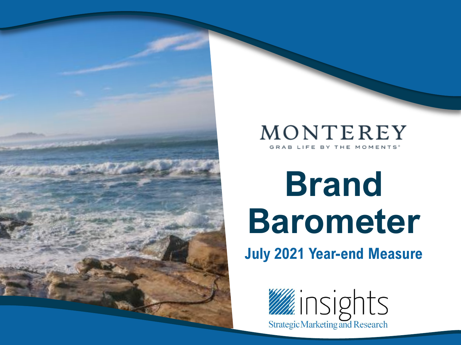

#### MONTEREY GRAB LIFE BY THE MOMENTS<sup>®</sup>

## **Brand Barometer July 2021 Year-end Measure**

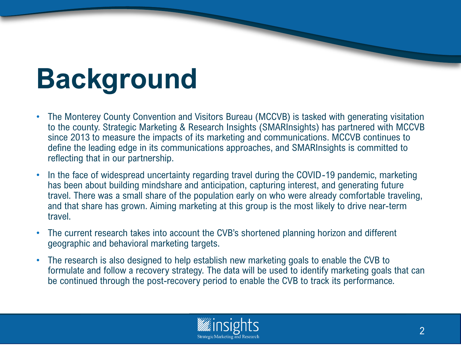## **Background**

- The Monterey County Convention and Visitors Bureau (MCCVB) is tasked with generating visitation to the county. Strategic Marketing & Research Insights (SMARInsights) has partnered with MCCVB since 2013 to measure the impacts of its marketing and communications. MCCVB continues to define the leading edge in its communications approaches, and SMARInsights is committed to reflecting that in our partnership.
- In the face of widespread uncertainty regarding travel during the COVID-19 pandemic, marketing has been about building mindshare and anticipation, capturing interest, and generating future travel. There was a small share of the population early on who were already comfortable traveling, and that share has grown. Aiming marketing at this group is the most likely to drive near-term travel.
- The current research takes into account the CVB's shortened planning horizon and different geographic and behavioral marketing targets.
- The research is also designed to help establish new marketing goals to enable the CVB to formulate and follow a recovery strategy. The data will be used to identify marketing goals that can be continued through the post-recovery period to enable the CVB to track its performance.

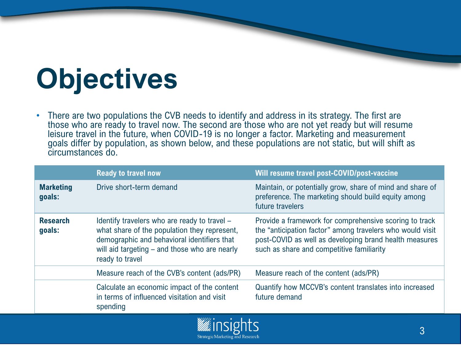# **Objectives**

• There are two populations the CVB needs to identify and address in its strategy. The first are those who are ready to travel now. The second are those who are not yet ready but will resume leisure travel in the future, when COVID-19 is no longer a factor. Marketing and measurement goals differ by population, as shown below, and these populations are not static, but will shift as circumstances do.

|                            | <b>Ready to travel now</b>                                                                                                                                                                                      | Will resume travel post-COVID/post-vaccine                                                                                                                                                                                 |
|----------------------------|-----------------------------------------------------------------------------------------------------------------------------------------------------------------------------------------------------------------|----------------------------------------------------------------------------------------------------------------------------------------------------------------------------------------------------------------------------|
| <b>Marketing</b><br>goals: | Drive short-term demand                                                                                                                                                                                         | Maintain, or potentially grow, share of mind and share of<br>preference. The marketing should build equity among<br>future travelers                                                                                       |
| <b>Research</b><br>goals:  | Identify travelers who are ready to travel -<br>what share of the population they represent,<br>demographic and behavioral identifiers that<br>will aid targeting – and those who are nearly<br>ready to travel | Provide a framework for comprehensive scoring to track<br>the "anticipation factor" among travelers who would visit<br>post-COVID as well as developing brand health measures<br>such as share and competitive familiarity |
|                            | Measure reach of the CVB's content (ads/PR)                                                                                                                                                                     | Measure reach of the content (ads/PR)                                                                                                                                                                                      |
|                            | Calculate an economic impact of the content<br>in terms of influenced visitation and visit<br>spending                                                                                                          | Quantify how MCCVB's content translates into increased<br>future demand                                                                                                                                                    |

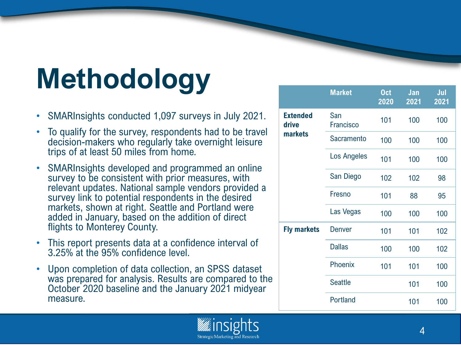# **Methodology**

- SMARInsights conducted 1,097 surveys in July 2021.
- To qualify for the survey, respondents had to be travel decision-makers who regularly take overnight leisure trips of at least 50 miles from home.
- SMARInsights developed and programmed an online survey to be consistent with prior measures, with relevant updates. National sample vendors provided a survey link to potential respondents in the desired markets, shown at right. Seattle and Portland were added in January, based on the addition of direct flights to Monterey County.
- This report presents data at a confidence interval of 3.25% at the 95% confidence level.
- Upon completion of data collection, an SPSS dataset was prepared for analysis. Results are compared to the October 2020 baseline and the January 2021 midyear measure.

|                          | <b>Market</b>    | <b>Oct</b><br>2020 | Jan<br>2021 | Jul<br>2021 |
|--------------------------|------------------|--------------------|-------------|-------------|
| <b>Extended</b><br>drive | San<br>Francisco | 101                | 100         | 100         |
| <b>markets</b>           | Sacramento       | 100                | 100         | 100         |
|                          | Los Angeles      | 101                | 100         | 100         |
|                          | San Diego        | 102                | 102         | 98          |
|                          | Fresno           | 101                | 88          | 95          |
|                          | Las Vegas        | 100                | 100         | 100         |
| <b>Fly markets</b>       | <b>Denver</b>    | 101                | 101         | 102         |
|                          | <b>Dallas</b>    | 100                | 100         | 102         |
|                          | Phoenix          | 101                | 101         | 100         |
|                          | <b>Seattle</b>   |                    | 101         | 100         |
|                          | Portland         |                    | 101         | 100         |

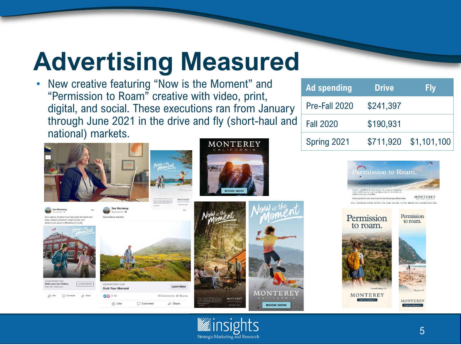### **Advertising Measured**

• New creative featuring "Now is the Moment" and "Permission to Roam" creative with video, print, digital, and social. These executions ran from January through June 2021 in the drive and fly (short-haul and national) markets.



**D** Like

C Comment

 $\phi$  Share

#### MONTEREY





| <b>Ad spending</b> | <b>Drive</b> | <b>Fly</b>            |
|--------------------|--------------|-----------------------|
| Pre-Fall 2020      | \$241,397    |                       |
| <b>Fall 2020</b>   | \$190,931    |                       |
| Spring 2021        |              | \$711,920 \$1,101,100 |

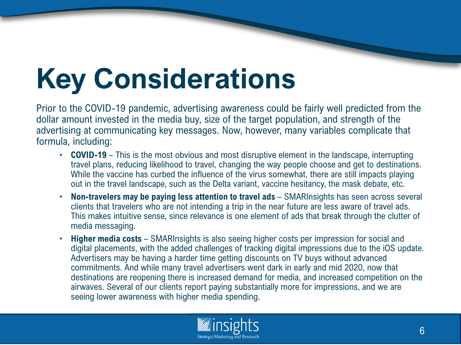## **Key Considerations**

Prior to the COVID-19 pandemic, advertising awareness could be fairly well predicted from the dollar amount invested in the media buy, size of the target population, and strength of the advertising at communicating key messages. Now, however, many variables complicate that formula, including:

- **COVID-19** This is the most obvious and most disruptive element in the landscape, interrupting travel plans, reducing likelihood to travel, changing the way people choose and get to destinations. While the vaccine has curbed the influence of the virus somewhat, there are still impacts playing out in the travel landscape, such as the Delta variant, vaccine hesitancy, the mask debate, etc.
- **Non-travelers may be paying less attention to travel ads**  SMARInsights has seen across several clients that travelers who are not intending a trip in the near future are less aware of travel ads. This makes intuitive sense, since relevance is one element of ads that break through the clutter of media messaging.
- **Higher media costs**  SMARInsights is also seeing higher costs per impression for social and digital placements, with the added challenges of tracking digital impressions due to the iOS update. Advertisers may be having a harder time getting discounts on TV buys without advanced commitments. And while many travel advertisers went dark in early and mid 2020, now that destinations are reopening there is increased demand for media, and increased competition on the airwaves. Several of our clients report paying substantially more for impressions, and we are seeing lower awareness with higher media spending.

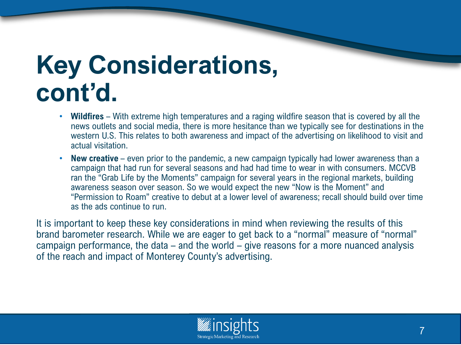### **Key Considerations, cont'd.**

- **Wildfires** With extreme high temperatures and a raging wildfire season that is covered by all the news outlets and social media, there is more hesitance than we typically see for destinations in the western U.S. This relates to both awareness and impact of the advertising on likelihood to visit and actual visitation.
- **New creative** even prior to the pandemic, a new campaign typically had lower awareness than a campaign that had run for several seasons and had had time to wear in with consumers. MCCVB ran the "Grab Life by the Moments" campaign for several years in the regional markets, building awareness season over season. So we would expect the new "Now is the Moment" and "Permission to Roam" creative to debut at a lower level of awareness; recall should build over time as the ads continue to run.

It is important to keep these key considerations in mind when reviewing the results of this brand barometer research. While we are eager to get back to a "normal" measure of "normal" campaign performance, the data – and the world – give reasons for a more nuanced analysis of the reach and impact of Monterey County's advertising.

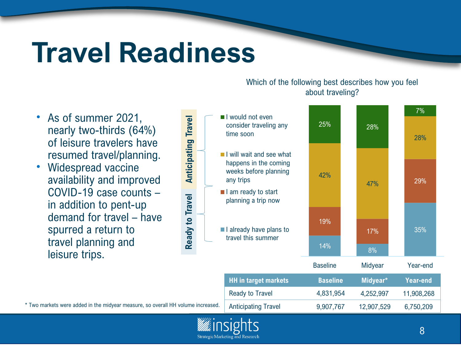## **Travel Readiness**

7% I would not even **Anticipating Travel Anticipating Travel** 25% 28% consider traveling any time soon 28% **I** I will wait and see what happens in the coming weeks before planning 42% any trips 29% 47%  $\blacksquare$  I am ready to start Ready to Travel **Ready to Travel** planning a trip now 19%  $\blacksquare$  I already have plans to 35% 17% travel this summer $14\%$   $8\%$ Baseline Midyear Year-end **HH in target markets Baseline Midyear\* Year-end** Ready to Travel 4,831,954 4,252,997 11,908,268 \* Two markets were added in the midyear measure, so overall HH volume increased. Anticipating Travel 9,907,767 12,907,529 6,750,209

#### Which of the following best describes how you feel about traveling?

- As of summer 2021, nearly two-thirds (64%) of leisure travelers have resumed travel/planning.
- Widespread vaccine availability and improved COVID-19 case counts – in addition to pent-up demand for travel – have spurred a return to travel planning and leisure trips.

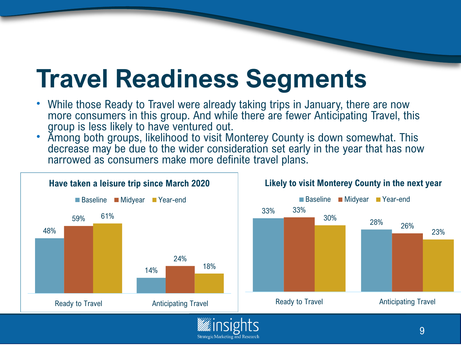### **Travel Readiness Segments**

- While those Ready to Travel were already taking trips in January, there are now more consumers in this group. And while there are fewer Anticipating Travel, this group is less likely to have ventured out.
- Among both groups, likelihood to visit Monterey County is down somewhat. This decrease may be due to the wider consideration set early in the year that has now narrowed as consumers make more definite travel plans.



**Strategic Marketing and Research**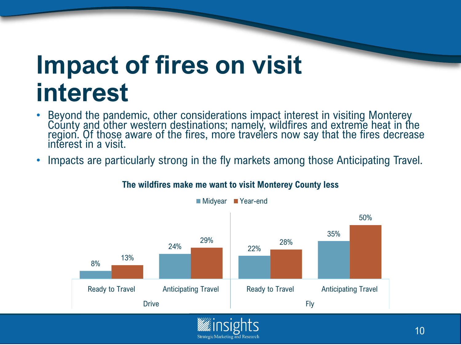### **Impact of fires on visit interest**

- Beyond the pandemic, other considerations impact interest in visiting Monterey County and other western destinations; namely, wildfires and extreme heat in the region. Of those aware of the fires, more travelers now say that the fires decrease interest in a visit.
- Impacts are particularly strong in the fly markets among those Anticipating Travel.



**Strategic Marketing and Research** 

**The wildfires make me want to visit Monterey County less**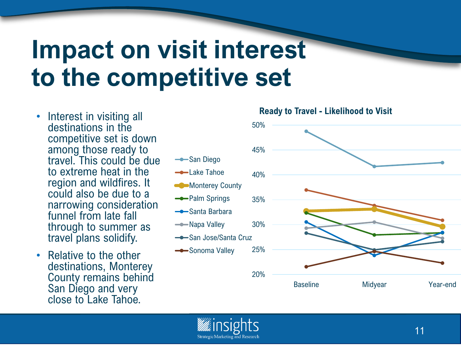### **Impact on visit interest to the competitive set**

**San Diego** 

- Interest in visiting all destinations in the competitive set is down among those ready to travel. This could be due to extreme heat in the region and wildfires. It could also be due to a narrowing consideration funnel from late fall through to summer as travel plans solidify.
- Relative to the other destinations, Monterey County remains behind San Diego and very close to Lake Tahoe.



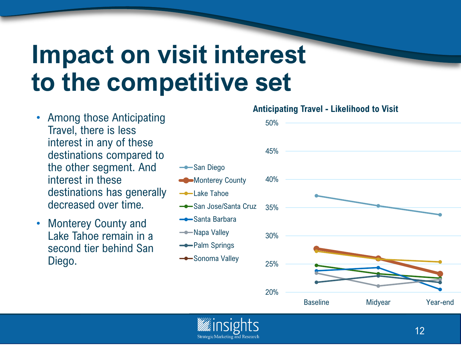### **Impact on visit interest to the competitive set**

**-San Diego** 

**-**Lake Tahoe

Santa Barbara

- Napa Valley

-Palm Springs

**-Sonoma Valley** 

**Monterey County** 

- Among those Anticipating Travel, there is less interest in any of these destinations compared to the other segment. And interest in these destinations has generally decreased over time.
- Monterey County and Lake Tahoe remain in a second tier behind San Diego.

#### **Anticipating Travel - Likelihood to Visit**



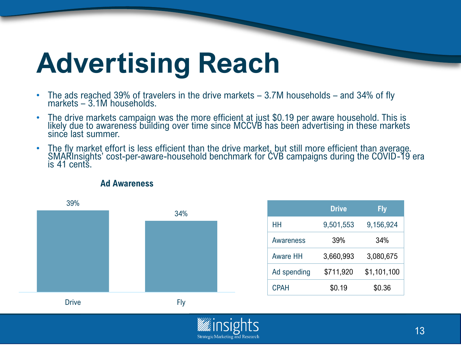## **Advertising Reach**

- The ads reached 39% of travelers in the drive markets 3.7M households and 34% of fly markets – 3.1M households.
- The drive markets campaign was the more efficient at just \$0.19 per aware household. This is likely due to awareness building over time since MCCVB has been advertising in these markets since last summer.
- The fly market effort is less efficient than the drive market, but still more efficient than average. SMARInsights' cost-per-aware-household benchmark for CVB campaigns during the COVID-19 era is 41 cents.



|  |  | <b>Ad Awareness</b> |
|--|--|---------------------|
|--|--|---------------------|

|                 | <b>Drive</b> | <b>Fly</b>  |
|-----------------|--------------|-------------|
| ΗН              | 9,501,553    | 9,156,924   |
| Awareness       | 39%          | 34%         |
| <b>Aware HH</b> | 3,660,993    | 3,080,675   |
| Ad spending     | \$711,920    | \$1,101,100 |
| <b>CPAH</b>     | \$0.19       | \$0.36      |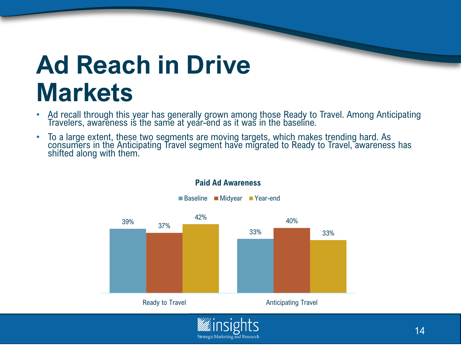### **Ad Reach in Drive Markets**

- Ad recall through this year has generally grown among those Ready to Travel. Among Anticipating Travelers, awareness is the same at year-end as it was in the baseline.
- To a large extent, these two segments are moving targets, which makes trending hard. As consumers in the Anticipating Travel segment have migrated to Ready to Travel, awareness has shifted along with them.



**Strategic Marketing and Research** 

#### **Paid Ad Awareness**

■Baseline Midyear Year-end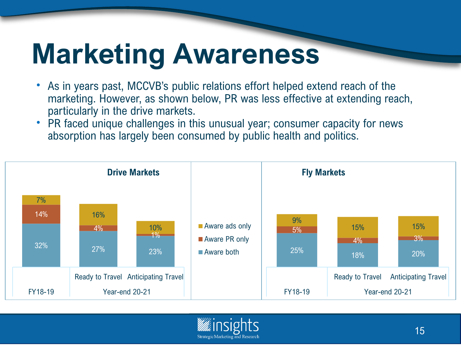## **Marketing Awareness**

- As in years past, MCCVB's public relations effort helped extend reach of the marketing. However, as shown below, PR was less effective at extending reach, particularly in the drive markets.
- PR faced unique challenges in this unusual year; consumer capacity for news absorption has largely been consumed by public health and politics.



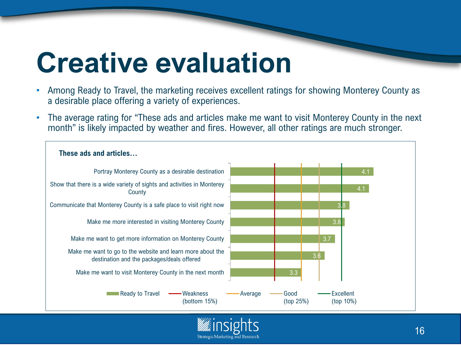## **Creative evaluation**

- Among Ready to Travel, the marketing receives excellent ratings for showing Monterey County as a desirable place offering a variety of experiences.
- The average rating for "These ads and articles make me want to visit Monterey County in the next month" is likely impacted by weather and fires. However, all other ratings are much stronger.

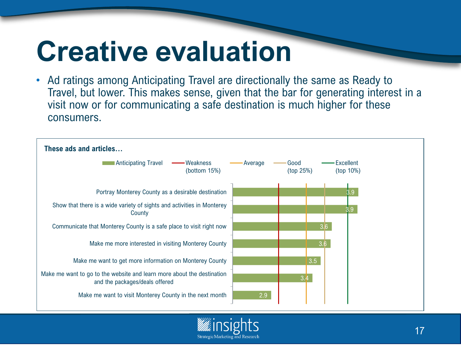## **Creative evaluation**

• Ad ratings among Anticipating Travel are directionally the same as Ready to Travel, but lower. This makes sense, given that the bar for generating interest in a visit now or for communicating a safe destination is much higher for these consumers.



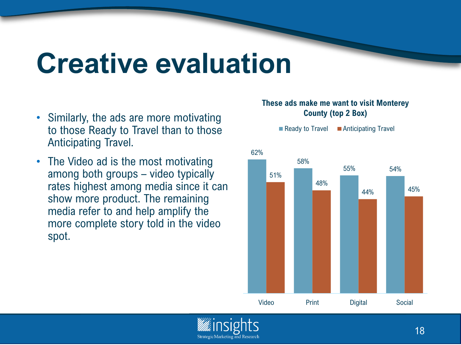## **Creative evaluation**

**Strategic Marketing and Research** 

- Similarly, the ads are more motivating to those Ready to Travel than to those Anticipating Travel.
- The Video ad is the most motivating among both groups – video typically rates highest among media since it can show more product. The remaining media refer to and help amplify the more complete story told in the video spot.

#### **These ads make me want to visit Monterey County (top 2 Box)**

 $\blacksquare$  Ready to Travel  $\blacksquare$  Anticipating Travel



18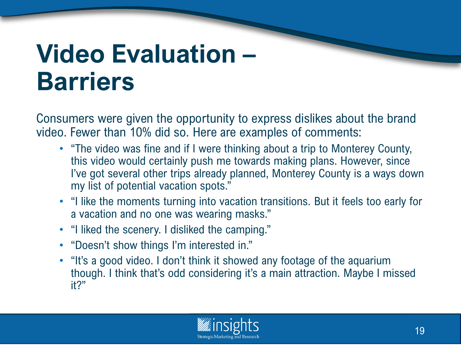### **Video Evaluation – Barriers**

Consumers were given the opportunity to express dislikes about the brand video. Fewer than 10% did so. Here are examples of comments:

- "The video was fine and if I were thinking about a trip to Monterey County, this video would certainly push me towards making plans. However, since I've got several other trips already planned, Monterey County is a ways down my list of potential vacation spots."
- "I like the moments turning into vacation transitions. But it feels too early for a vacation and no one was wearing masks."
- "I liked the scenery. I disliked the camping."
- "Doesn't show things I'm interested in."
- "It's a good video. I don't think it showed any footage of the aquarium though. I think that's odd considering it's a main attraction. Maybe I missed it?"

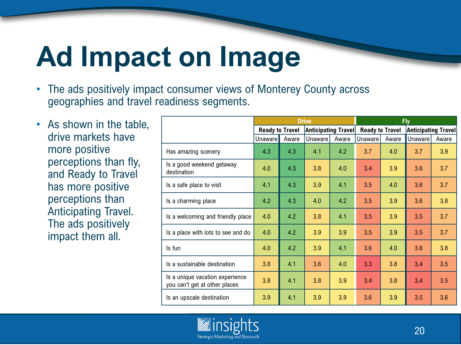## **Ad Impact on Image**

- The ads positively impact consumer views of Monterey County across geographies and travel readiness segments.
- As shown in the table, drive markets have more positive perceptions than fly, and Ready to Travel has more positive perceptions than Anticipating Travel. The ads positively impact them all.

|                                                                  | <b>Drive</b>           |       |                            |       |                        | <b>Fly</b> |                            |       |
|------------------------------------------------------------------|------------------------|-------|----------------------------|-------|------------------------|------------|----------------------------|-------|
|                                                                  | <b>Ready to Travel</b> |       | <b>Anticipating Travel</b> |       | <b>Ready to Travel</b> |            | <b>Anticipating Travel</b> |       |
|                                                                  | <b>Unaware</b>         | Aware | Unaware                    | Aware | Unaware                | Aware      | Unaware                    | Aware |
| Has amazing scenery                                              | 4.3                    | 4.3   | 4.1                        | 4.2   | 3.7                    | 4.0        | 3.7                        | 3.9   |
| Is a good weekend getaway<br>destination                         | 4.0                    | 4.3   | 3.8                        | 4.0   | 3.4                    | 3.9        | 3.6                        | 3.7   |
| Is a safe place to visit                                         | 4.1                    | 4.3   | 3.9                        | 4.1   | 3.5                    | 4.0        | 3.6                        | 3.7   |
| Is a charming place                                              | 4.2                    | 4.3   | 4.0                        | 4.2   | 3.5                    | 3.9        | 3.6                        | 3.8   |
| Is a welcoming and friendly place                                | 4.0                    | 4.2   | 3.8                        | 4.1   | 3.5                    | 3.9        | 3.5                        | 3.7   |
| Is a place with lots to see and do                               | 4.0                    | 4.2   | 3.9                        | 3.9   | 3.5                    | 3.9        | 3.5                        | 3.7   |
| Is fun                                                           | 4.0                    | 4.2   | 3.9                        | 4.1   | 3.6                    | 4.0        | 3.6                        | 3.8   |
| Is a sustainable destination                                     | 3.8                    | 4.1   | 3.6                        | 4.0   | 3.3                    | 3.8        | 3.4                        | 3.5   |
| Is a unique vacation experience<br>you can't get at other places | 3.8                    | 4.1   | 3.8                        | 3.9   | 3.4                    | 3.8        | 3.4                        | 3.5   |
| Is an upscale destination                                        | 3.9                    | 4.1   | 3.9                        | 3.9   | 3.6                    | 3.9        | 3.5                        | 3.6   |

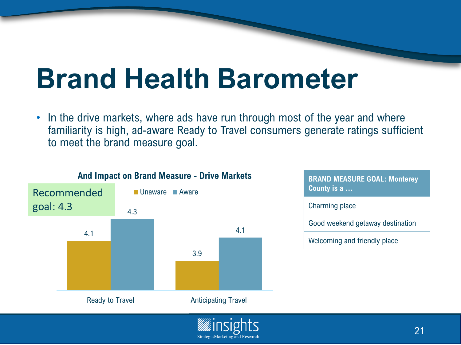## **Brand Health Barometer**

In the drive markets, where ads have run through most of the year and where familiarity is high, ad-aware Ready to Travel consumers generate ratings sufficient to meet the brand measure goal.



#### **And Impact on Brand Measure - Drive Markets**

**BRAND MEASURE GOAL: Monterey County is a …** Charming place Good weekend getaway destination Welcoming and friendly place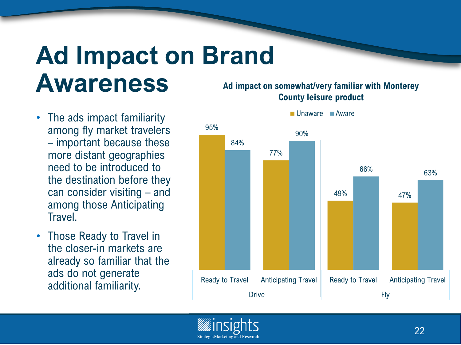### **Ad Impact on Brand Awareness**

- The ads impact familiarity among fly market travelers – important because these more distant geographies need to be introduced to the destination before they can consider visiting – and among those Anticipating **Travel.**
- Those Ready to Travel in the closer-in markets are already so familiar that the ads do not generate additional familiarity.

#### **Ad impact on somewhat/very familiar with Monterey County leisure product**



Unaware Aware

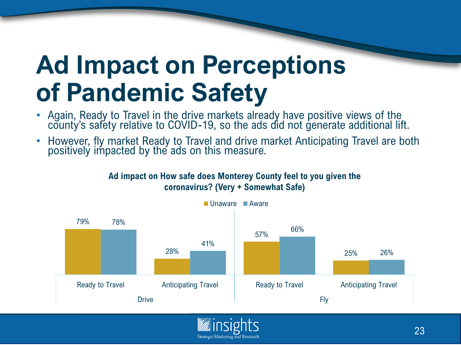## **Ad Impact on Perceptions of Pandemic Safety**

- Again, Ready to Travel in the drive markets already have positive views of the county's safety relative to COVID-19, so the ads did not generate additional lift.
- However, fly market Ready to Travel and drive market Anticipating Travel are both positively impacted by the ads on this measure.



**Ad impact on How safe does Monterey County feel to you given the coronavirus? (Very + Somewhat Safe)**

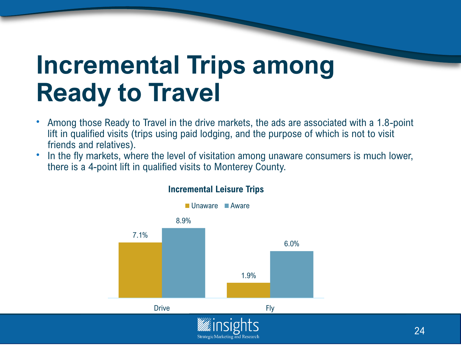### **Incremental Trips among Ready to Travel**

- Among those Ready to Travel in the drive markets, the ads are associated with a 1.8-point lift in qualified visits (trips using paid lodging, and the purpose of which is not to visit friends and relatives).
- In the fly markets, where the level of visitation among unaware consumers is much lower, there is a 4-point lift in qualified visits to Monterey County.



#### **Incremental Leisure Trips**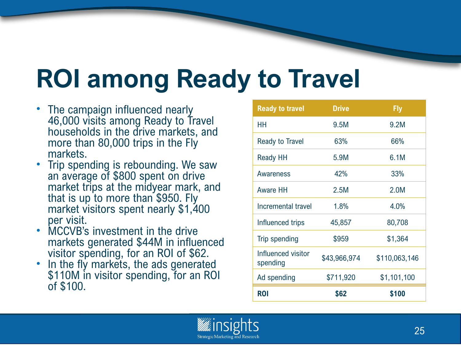## **ROI among Ready to Travel**

- The campaign influenced nearly 46,000 visits among Ready to Travel households in the drive markets, and more than 80,000 trips in the Fly markets.
- Trip spending is rebounding. We saw an average of \$800 spent on drive market trips at the midyear mark, and that is up to more than \$950. Fly market visitors spent nearly \$1,400 per visit.
- MCCVB's investment in the drive markets generated \$44M in influenced visitor spending, for an ROI of \$62.
- In the fly markets, the ads generated \$110M in visitor spending, for an ROI of \$100.

| <b>Ready to travel</b>         | <b>Drive</b> | <b>Fly</b>    |  |  |
|--------------------------------|--------------|---------------|--|--|
| HН                             | 9.5M         | 9.2M          |  |  |
| <b>Ready to Travel</b>         | 63%          | 66%           |  |  |
| Ready HH                       | 5.9M         | 6.1M          |  |  |
| Awareness                      | 42%          | 33%           |  |  |
| Aware HH                       | 2.5M         | 2.0M          |  |  |
| Incremental travel             | 1.8%         | 4.0%          |  |  |
| Influenced trips               | 45,857       | 80,708        |  |  |
| <b>Trip spending</b>           | \$959        | \$1,364       |  |  |
| Influenced visitor<br>spending | \$43,966,974 | \$110,063,146 |  |  |
| Ad spending                    | \$711,920    | \$1,101,100   |  |  |
| ROI                            | \$62         | \$100         |  |  |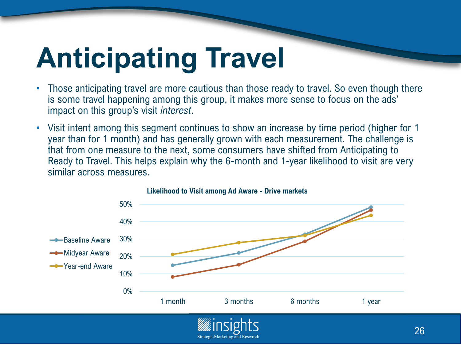## **Anticipating Travel**

- Those anticipating travel are more cautious than those ready to travel. So even though there is some travel happening among this group, it makes more sense to focus on the ads' impact on this group's visit *interest*.
- Visit intent among this segment continues to show an increase by time period (higher for 1 year than for 1 month) and has generally grown with each measurement. The challenge is that from one measure to the next, some consumers have shifted from Anticipating to Ready to Travel. This helps explain why the 6-month and 1-year likelihood to visit are very similar across measures.



#### **Likelihood to Visit among Ad Aware - Drive markets**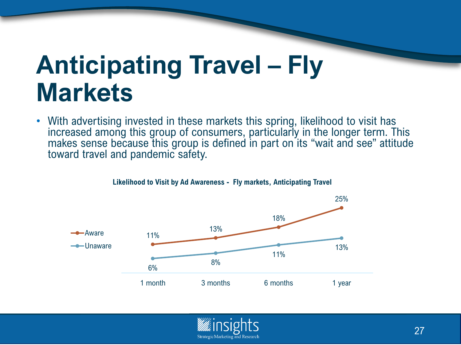### **Anticipating Travel – Fly Markets**

With advertising invested in these markets this spring, likelihood to visit has increased among this group of consumers, particularly in the longer term. This makes sense because this group is defined in part on its "wait and see" attitude toward travel and pandemic safety.



#### **Likelihood to Visit by Ad Awareness - Fly markets, Anticipating Travel**

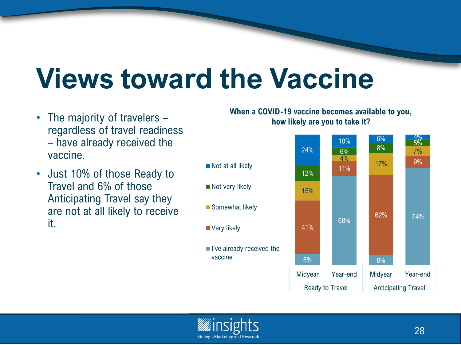## **Views toward the Vaccine**

- The majority of travelers regardless of travel readiness – have already received the vaccine.
- Just 10% of those Ready to Travel and 6% of those Anticipating Travel say they are not at all likely to receive it.

**When a COVID-19 vaccine becomes available to you, how likely are you to take it?**





**Very likely** 

vaccine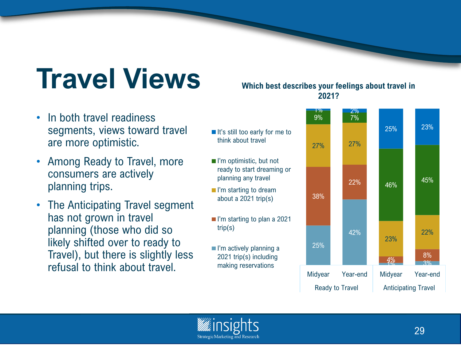## **Travel Views**

#### • In both travel readiness segments, views toward travel are more optimistic.

- Among Ready to Travel, more consumers are actively planning trips.
- The Anticipating Travel segment has not grown in travel planning (those who did so likely shifted over to ready to Travel), but there is slightly less refusal to think about travel.

#### **Which best describes your feelings about travel in 2021?**





trip(s)

think about travel

planning any travel ■ I'm starting to dream about a 2021 trip(s)

2021 trip(s) including making reservations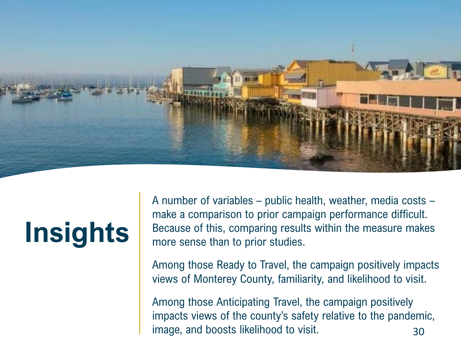

## **Insights**

A number of variables – public health, weather, media costs – make a comparison to prior campaign performance difficult. Because of this, comparing results within the measure makes more sense than to prior studies.

Among those Ready to Travel, the campaign positively impacts views of Monterey County, familiarity, and likelihood to visit.

Among those Anticipating Travel, the campaign positively impacts views of the county's safety relative to the pandemic, image, and boosts likelihood to visit. 430 and 30